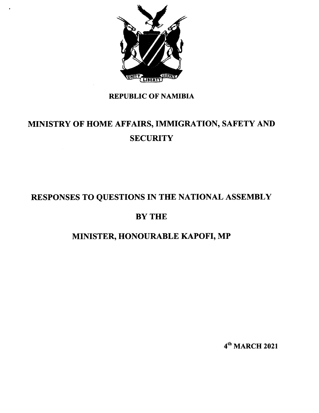

# REPUBLIC OF NAMIBIA

# MINISTRY OF HOME AFFAIRS, IMMIGRATION, SAFETY AND **SECURITY**

# RESPONSES TO QUESTIONS IN THE NATIONAL ASSEMBLY

# BY THE

# MINISTER, HONOURABLE KAPOFI, MP

4th MARCH 2021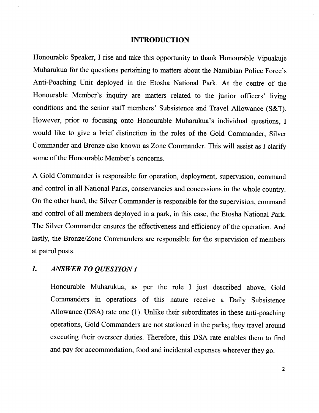#### **INTRODUCTION**

Honourable Speaker, I rise and take this opportunity to thank Honourable Vipuakuje Muharukua for the questions pertaining to matters about the Namibian Police Force's Anti-Poaching Unit deployed in the Etosha National Park. At the centre of the Honourable Member's inquiry are matters related to the junior officers' living conditions and the senior staff members' Subsistence and Travel Allowance (S&T). However, prior to focusing onto Honourable Muharukua's individual questions, I would like to give a brief distinction in the roles of the Gold Commander, Silver Commander and Bronze also known as Zone Commander. This will assist as I clarify some of the Honourable Member's concerns.

A Gold Commander is responsible for operation, deployment, supervision, command and control in all National Parks, conservancies and concessions in the whole country. On the other hand, the Silver Commander is responsible for the supervision, command and control of all members deployed in a park, in this case, the Etosha National Park. The Silver Commander ensures the effectiveness and efficiency of the operation. And lastly, the Bronze/Zone Commanders are responsible for the supervision of members at patrol posts.

#### *1. ANSWER TO QUESTION 1*

Honourable Muharukua, as per the role I just described above, Gold Commanders in operations of this nature receive a Daily Subsistence Allowance (DSA) rate one (1). Unlike their subordinates in these anti-poaching operations, Gold Commanders are not stationed in the parks; they travel around executing their overseer duties. Therefore, this DSA rate enables them to find and pay for accommodation, food and incidental expenses wherever they go.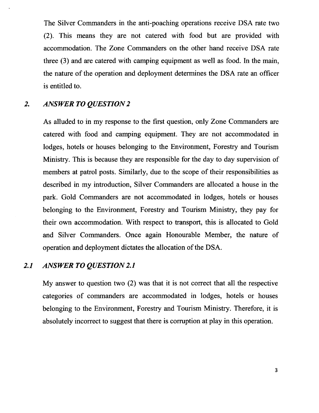The Silver Commanders in the anti-poaching operations receive DSA rate two (2). This means they are not catered with food but are provided with accommodation. The Zone Commanders on the other hand receive DSA rate three (3) and are catered with camping equipment as well as food. In the main, the nature of the operation and deployment determines the DSA rate an officer is entitled to.

#### 2. *ANSWER TO QUESTION 2*

As alluded to in my response to the first question, only Zone Commanders are catered with food and camping equipment. They are not accommodated in lodges, hotels or houses belonging to the Environment, Forestry and Tourism Ministry. This is because they are responsible for the day to day supervision of members at patrol posts. Similarly, due to the scope of their responsibilities as described in my introduction, Silver Commanders are allocated a house in the park. Gold Commanders are not accommodated in lodges, hotels or houses belonging to the Environment, Forestry and Tourism Ministry, they pay for their own accommodation. With respect to transport, this is allocated to Gold and Silver Commanders. Once again Honourable Member, the nature of operation and deployment dictates the allocation of the DSA.

#### *2.1 ANSWER TOQUESTION2.1*

My answer to question two (2) was that it is not correct that all the respective categories of commanders are accommodated in lodges, hotels or houses belonging to the Environment, Forestry and Tourism Ministry. Therefore, it is absolutely incorrect to suggest that there is corruption at play in this operation.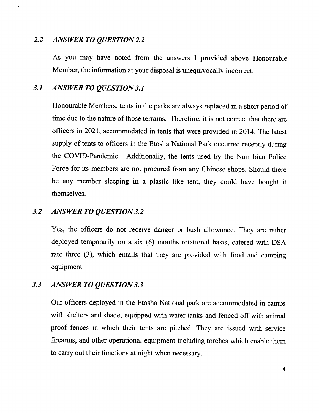#### *2.2 ANSWER TO QUESTION 2.2*

As you may have noted from the answers I provided above Honourable Member, the information at your disposal is unequivocally incorrect.

### *3.1 ANSWER TO QUESTION 3.1*

Honourable Members, tents in the parks are always replaced in a short period of time due to the nature of those terrains. Therefore, it is not correct that there are officers in 2021, accommodated in tents that were provided in 2014. The latest supply of tents to officers in the Etosha National Park occurred recently during the COVID-Pandemic. Additionally, the tents used by the Namibian Police Force for its members are not procured from any Chinese shops. Should there be any member sleeping in a plastic like tent, they could have bought it themselves.

### *3.2 ANSWER TO QUESTION 3.2*

Yes, the officers do not receive danger or bush allowance. They are rather deployed temporarily on a six (6) months rotational basis, catered with DSA rate three (3), which entails that they are provided with food and camping equipment.

### *3.3 ANSWER TO QUESTION 3.3*

Our officers deployed in the Etosha National park are accommodated in camps with shelters and shade, equipped with water tanks and fenced off with animal proof fences in which their tents are pitched. They are issued with service firearms, and other operational equipment including torches which enable them to carry out their functions at night when necessary.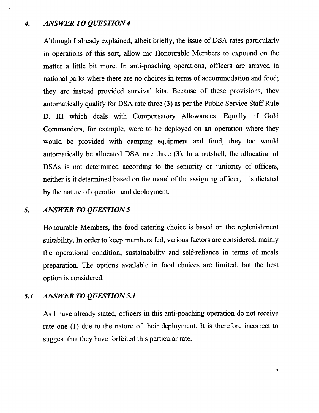#### *4. ANSWER TO QUESTION 4*

Although I already explained, albeit briefly, the issue of DSA rates particularly in operations of this sort, allow me Honourable Members to expound on the matter a little bit more. In anti-poaching operations, officers are arrayed in national parks where there are no choices in terms of accommodation and food; they are instead provided survival kits. Because of these provisions, they automatically qualify for DSA rate three (3) as per the Public Service StaffRule D. III which deals with Compensatory Allowances. Equally, if Gold Commanders, for example, were to be deployed on an operation where they would be provided with camping equipment and food, they too would automatically be allocated DSA rate three (3). In a nutshell, the allocation of DSAs is not determined according to the seniority or juniority of officers, neither is it determined based on the mood of the assigning officer, it is dictated by the nature of operation and deployment.

# *5. ANSWER TO QUESTION 5*

Honourable Members, the food catering choice is based on the replenishment suitability. In order to keep members fed, various factors are considered, mainly the operational condition, sustainability and self-reliance in terms of meals preparation. The options available in food choices are limited, but the best option is considered.

#### *5.1 ANSWER TO QUESTION 5.1*

As I have already stated, officers in this anti-poaching operation do not receive rate one (1) due to the nature of their deployment. It is therefore incorrect to suggest that they have forfeited this particular rate.